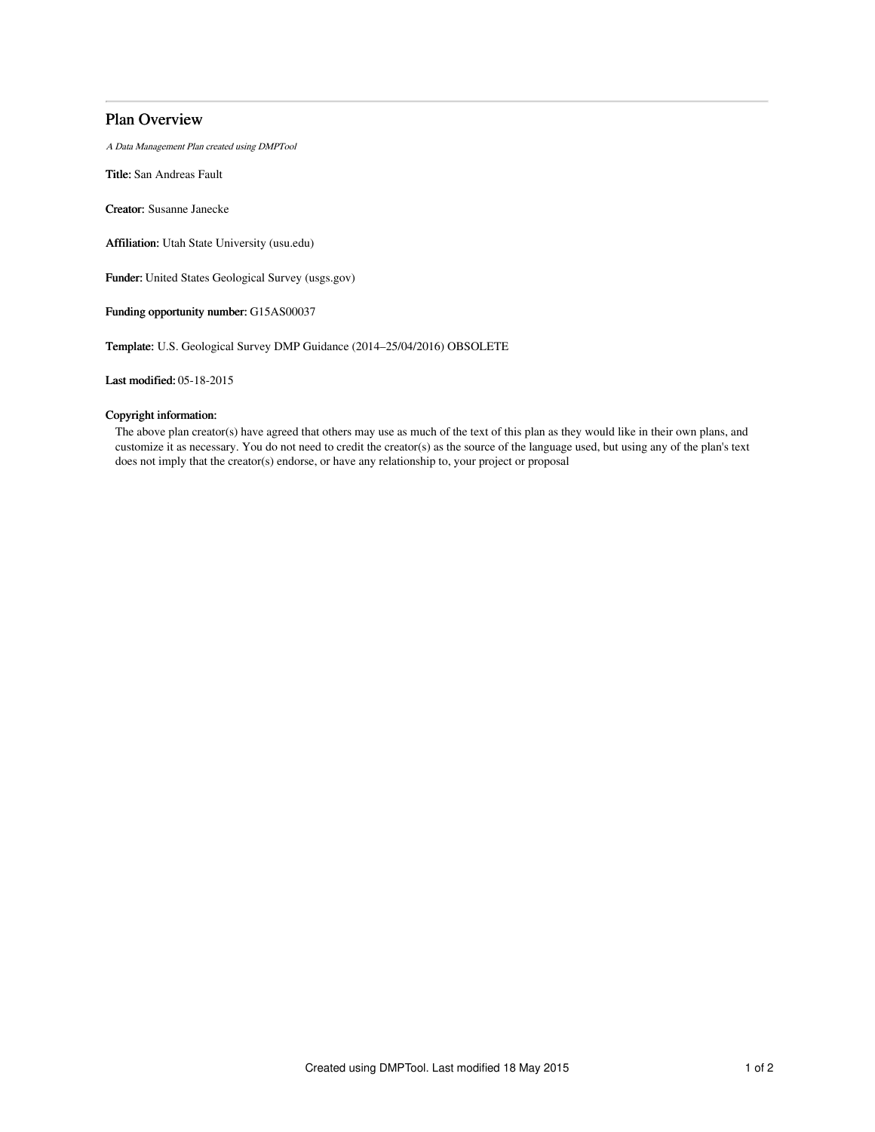# Plan Overview

A Data Management Plan created using DMPTool

Title: San Andreas Fault

Creator: Susanne Janecke

Affiliation: Utah State University (usu.edu)

Funder: United States Geological Survey (usgs.gov)

Funding opportunity number: G15AS00037

Template: U.S. Geological Survey DMP Guidance (2014–25/04/2016) OBSOLETE

Last modified: 05-18-2015

## Copyright information:

The above plan creator(s) have agreed that others may use as much of the text of this plan as they would like in their own plans, and customize it as necessary. You do not need to credit the creator(s) as the source of the language used, but using any of the plan's text does not imply that the creator(s) endorse, or have any relationship to, your project or proposal